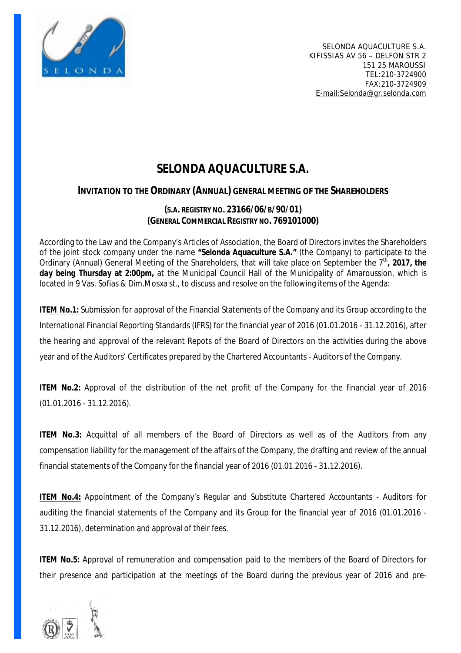

# **SELONDA AQUACULTURE S.A.**

## **INVITATION TO THE ORDINARY (ANNUAL) GENERAL MEETING OF THE SHAREHOLDERS**

### **(S.A. REGISTRY NO. 23166/06/B/90/01) (GENERAL COMMERCIAL REGISTRY NO. 769101000)**

According to the Law and the Company's Articles of Association, the Board of Directors invites the Shareholders of the joint stock company under the name **"Selonda Aquaculture S.A."** (the Company) to participate to the Ordinary (Annual) General Meeting of the Shareholders, that will take place on September the 7<sup>th</sup>, 2017, the *day being Thursday* **at 2:00pm,** at the Municipal Council Hall of the Municipality of Amaroussion, which is located in 9 Vas. Sofias & Dim.Mosxa st., to discuss and resolve on the following items of the Agenda:

**ITEM No.1:** Submission for approval of the Financial Statements of the Company and its Group according to the International Financial Reporting Standards (IFRS) for the financial year of 2016 (01.01.2016 - 31.12.2016), after the hearing and approval of the relevant Repots of the Board of Directors on the activities during the above year and of the Auditors' Certificates prepared by the Chartered Accountants - Auditors of the Company.

**ITEM No.2:** Approval of the distribution of the net profit of the Company for the financial year of 2016 (01.01.2016 - 31.12.2016).

**ITEM No.3:** Acquittal of all members of the Board of Directors as well as of the Auditors from any compensation liability for the management of the affairs of the Company, the drafting and review of the annual financial statements of the Company for the financial year of 2016 (01.01.2016 - 31.12.2016).

**ITEM No.4:** Appointment of the Company's Regular and Substitute Chartered Accountants - Auditors for auditing the financial statements of the Company and its Group for the financial year of 2016 (01.01.2016 - 31.12.2016), determination and approval of their fees.

**ITEM No.5:** Approval of remuneration and compensation paid to the members of the Board of Directors for their presence and participation at the meetings of the Board during the previous year of 2016 and pre-

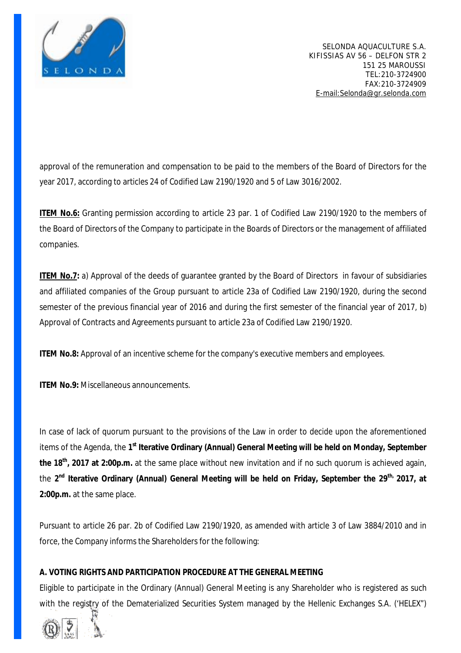

approval of the remuneration and compensation to be paid to the members of the Board of Directors for the year 2017, according to articles 24 of Codified Law 2190/1920 and 5 of Law 3016/2002.

**ITEM No.6:** Granting permission according to article 23 par. 1 of Codified Law 2190/1920 to the members of the Board of Directors of the Company to participate in the Boards of Directors or the management of affiliated companies.

**ITEM No.7:** a) Approval of the deeds of guarantee granted by the Board of Directors in favour of subsidiaries and affiliated companies of the Group pursuant to article 23a of Codified Law 2190/1920, during the second semester of the previous financial year of 2016 and during the first semester of the financial year of 2017, b) Approval of Contracts and Agreements pursuant to article 23a of Codified Law 2190/1920.

**ITEM No.8:** Approval of an incentive scheme for the company's executive members and employees.

**ITEM No.9:** Miscellaneous announcements.

In case of lack of quorum pursuant to the provisions of the Law in order to decide upon the aforementioned items of the Agenda, the **1 st Iterative Ordinary (Annual) General Meeting will be held on Monday, September the 18th , 2017 at 2:00p.m.** at the same place without new invitation and if no such quorum is achieved again, the 2<sup>nd</sup> Iterative Ordinary (Annual) General Meeting will be held on Friday, September the 29<sup>th,</sup> 2017, at **2:00p.m.** at the same place.

Pursuant to article 26 par. 2b of Codified Law 2190/1920, as amended with article 3 of Law 3884/2010 and in force, the Company informs the Shareholders for the following:

#### **A. VOTING RIGHTS AND PARTICIPATION PROCEDURE AT THE GENERAL MEETING**

Eligible to participate in the Ordinary (Annual) General Meeting is any Shareholder who is registered as such with the registry of the Dematerialized Securities System managed by the Hellenic Exchanges S.A. ('HELEX")

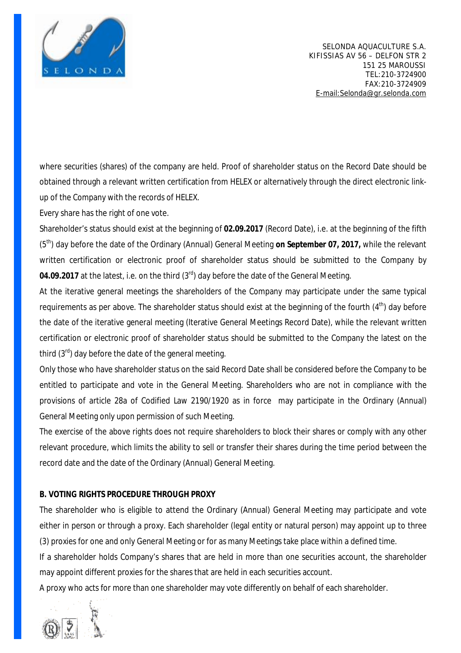

where securities (shares) of the company are held. Proof of shareholder status on the Record Date should be obtained through a relevant written certification from HELEX or alternatively through the direct electronic linkup of the Company with the records of HELEX.

Every share has the right of one vote.

Shareholder's status should exist at the beginning of **02.09.2017** (Record Date), i.e. at the beginning of the fifth (5th) day before the date of the Ordinary (Annual) General Meeting **on September 07, 2017,** while the relevant written certification or electronic proof of shareholder status should be submitted to the Company by 04.09.2017 at the latest, i.e. on the third (3<sup>rd</sup>) day before the date of the General Meeting.

At the iterative general meetings the shareholders of the Company may participate under the same typical requirements as per above. The shareholder status should exist at the beginning of the fourth (4<sup>th</sup>) dav before the date of the iterative general meeting (Iterative General Meetings Record Date), while the relevant written certification or electronic proof of shareholder status should be submitted to the Company the latest on the third  $(3<sup>rd</sup>)$  day before the date of the general meeting.

Only those who have shareholder status on the said Record Date shall be considered before the Company to be entitled to participate and vote in the General Meeting. Shareholders who are not in compliance with the provisions of article 28a of Codified Law 2190/1920 as in force may participate in the Ordinary (Annual) General Meeting only upon permission of such Meeting.

The exercise of the above rights does not require shareholders to block their shares or comply with any other relevant procedure, which limits the ability to sell or transfer their shares during the time period between the record date and the date of the Ordinary (Annual) General Meeting.

#### **B. VOTING RIGHTS PROCEDURE THROUGH PROXY**

The shareholder who is eligible to attend the Ordinary (Annual) General Meeting may participate and vote either in person or through a proxy. Each shareholder (legal entity or natural person) may appoint up to three (3) proxies for one and only General Meeting or for as many Meetings take place within a defined time.

If a shareholder holds Company's shares that are held in more than one securities account, the shareholder may appoint different proxies for the shares that are held in each securities account.

A proxy who acts for more than one shareholder may vote differently on behalf of each shareholder.

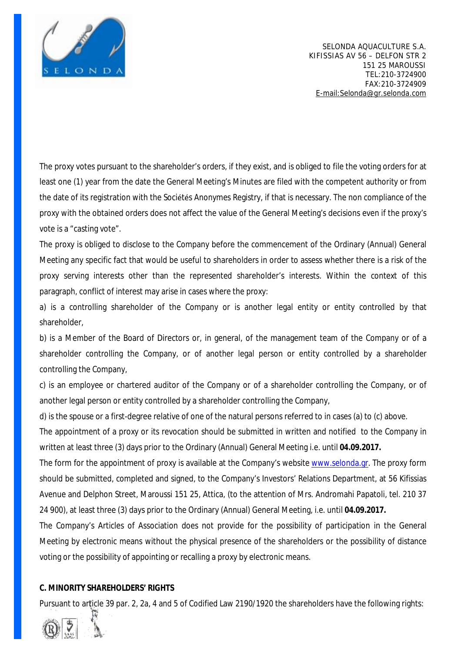

The proxy votes pursuant to the shareholder's orders, if they exist, and is obliged to file the voting orders for at least one (1) year from the date the General Meeting's Minutes are filed with the competent authority or from the date of its registration with the Sociétés Anonymes Registry, if that is necessary. The non compliance of the proxy with the obtained orders does not affect the value of the General Meeting's decisions even if the proxy's vote is a "casting vote".

The proxy is obliged to disclose to the Company before the commencement of the Ordinary (Annual) General Meeting any specific fact that would be useful to shareholders in order to assess whether there is a risk of the proxy serving interests other than the represented shareholder's interests. Within the context of this paragraph, conflict of interest may arise in cases where the proxy:

a) is a controlling shareholder of the Company or is another legal entity or entity controlled by that shareholder,

b) is a Member of the Board of Directors or, in general, of the management team of the Company or of a shareholder controlling the Company, or of another legal person or entity controlled by a shareholder controlling the Company,

c) is an employee or chartered auditor of the Company or of a shareholder controlling the Company, or of another legal person or entity controlled by a shareholder controlling the Company,

d) is the spouse or a first-degree relative of one of the natural persons referred to in cases (a) to (c) above.

The appointment of a proxy or its revocation should be submitted in written and notified to the Company in written at least three (3) days prior to the Ordinary (Annual) General Meeting i.e. until **04.09.2017.**

The form for the appointment of proxy is available at the Company's website [www.selonda.gr](http://www.selonda.gr). The proxy form should be submitted, completed and signed, to the Company's Investors' Relations Department, at 56 Kifissias Avenue and Delphon Street, Maroussi 151 25, Attica, (to the attention of Mrs. Andromahi Papatoli, tel. 210 37 24 900), at least three (3) days prior to the Ordinary (Annual) General Meeting, i.e. until **04.09.2017.** 

The Company's Articles of Association does not provide for the possibility of participation in the General Meeting by electronic means without the physical presence of the shareholders or the possibility of distance voting or the possibility of appointing or recalling a proxy by electronic means.

#### **C. MINORITY SHAREHOLDERS' RIGHTS**

Pursuant to article 39 par. 2, 2a, 4 and 5 of Codified Law 2190/1920 the shareholders have the following rights:

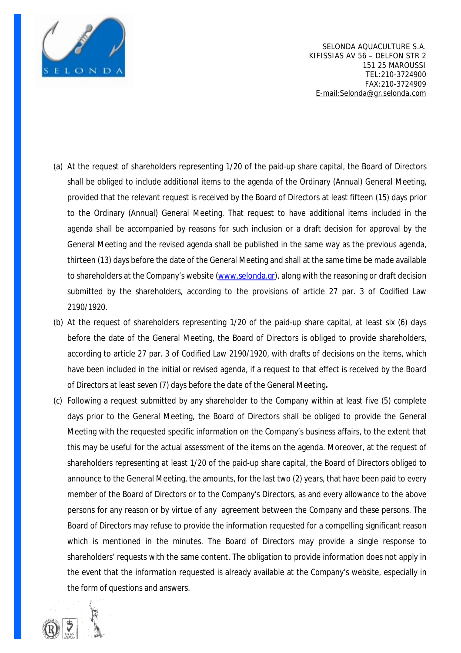

- (a) At the request of shareholders representing 1/20 of the paid-up share capital, the Board of Directors shall be obliged to include additional items to the agenda of the Ordinary (Annual) General Meeting, provided that the relevant request is received by the Board of Directors at least fifteen (15) days prior to the Ordinary (Annual) General Meeting. That request to have additional items included in the agenda shall be accompanied by reasons for such inclusion or a draft decision for approval by the General Meeting and the revised agenda shall be published in the same way as the previous agenda, thirteen (13) days before the date of the General Meeting and shall at the same time be made available to shareholders at the Company's website ([www.selonda.gr\)](http://www.selonda.gr), along with the reasoning or draft decision submitted by the shareholders, according to the provisions of article 27 par. 3 of Codified Law 2190/1920.
- (b) At the request of shareholders representing 1/20 of the paid-up share capital, at least six (6) days before the date of the General Meeting, the Board of Directors is obliged to provide shareholders, according to article 27 par. 3 of Codified Law 2190/1920, with drafts of decisions on the items, which have been included in the initial or revised agenda, if a request to that effect is received by the Board of Directors at least seven (7) days before the date of the General Meeting**.**
- (c) Following a request submitted by any shareholder to the Company within at least five (5) complete days prior to the General Meeting, the Board of Directors shall be obliged to provide the General Meeting with the requested specific information on the Company's business affairs, to the extent that this may be useful for the actual assessment of the items on the agenda. Moreover, at the request of shareholders representing at least 1/20 of the paid-up share capital, the Board of Directors obliged to announce to the General Meeting, the amounts, for the last two (2) years, that have been paid to every member of the Board of Directors or to the Company's Directors, as and every allowance to the above persons for any reason or by virtue of any agreement between the Company and these persons. The Board of Directors may refuse to provide the information requested for a compelling significant reason which is mentioned in the minutes. The Board of Directors may provide a single response to shareholders' requests with the same content. The obligation to provide information does not apply in the event that the information requested is already available at the Company's website, especially in the form of questions and answers.